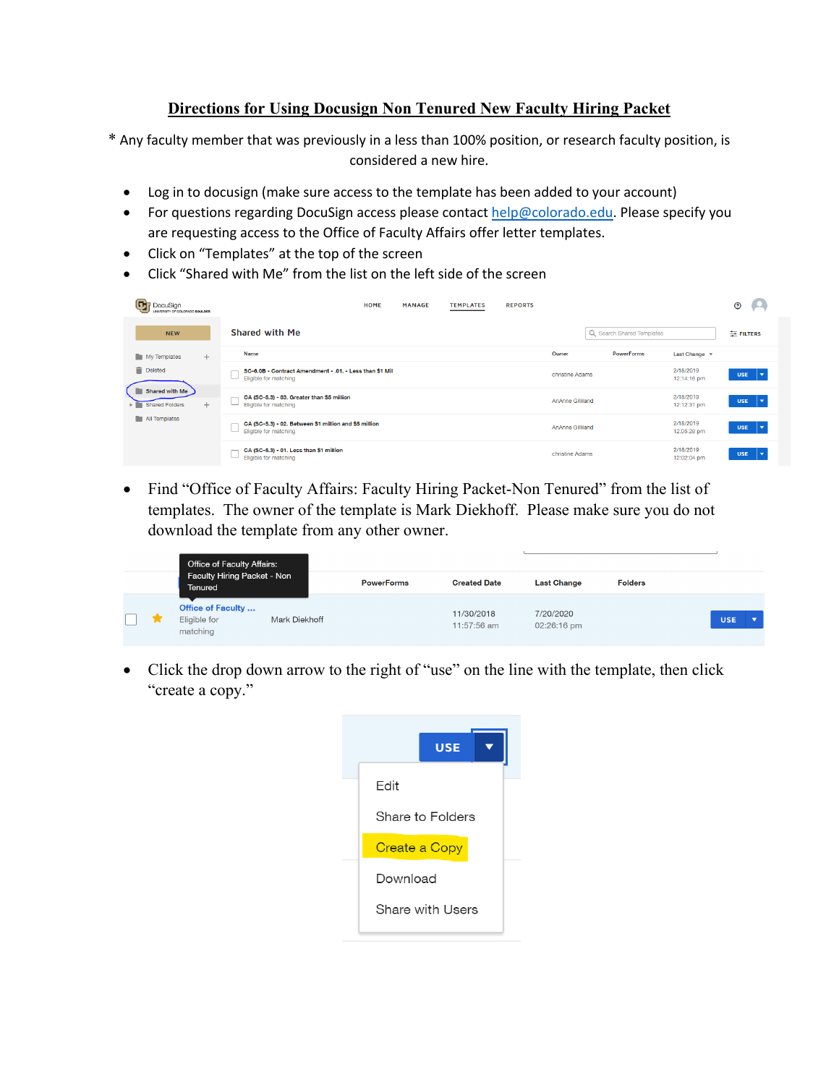## **Directions for Using Docusign Non Tenured New Faculty Hiring Packet**

\* Any faculty member that was previously in a less than 100% position, or research faculty position, is considered a new hire.

- Log in to docusign (make sure access to the template has been added to your account)
- For questions regarding DocuSign access please contact help@colorado.edu. Please specify you are requesting access to the Office of Faculty Affairs offer letter templates.
- Click on "Templates" at the top of the screen
- Click "Shared with Me" from the list on the left side of the screen

| Œ<br>DocuSign<br>UNIVERSITY OF COLORADO BOULDER |                                                                                  | HOME | <b>MANAGE</b> | <b>TEMPLATES</b> | <b>REPORTS</b> |                   |                           |                          | ℗                                     |
|-------------------------------------------------|----------------------------------------------------------------------------------|------|---------------|------------------|----------------|-------------------|---------------------------|--------------------------|---------------------------------------|
| <b>NEW</b>                                      | Shared with Me                                                                   |      |               |                  |                |                   | Q Search Shared Templates |                          | 三 FILTERS                             |
| My Templates<br>$+$                             | <b>Name</b>                                                                      |      |               |                  |                | Owner             | <b>PowerForms</b>         | Last Change v            |                                       |
| î<br><b>Deleted</b>                             | SC-6.0B - Contract Amendment - .01. - Less than \$1 Mil<br>Eligible for matching |      |               |                  |                | christine Adams   |                           | 2/18/2019<br>12:14:16 pm | <b>USE</b><br>l۷                      |
| Shared with Me<br>$+$<br>> Shared Folders       | CA (SC-5.3) - 03. Greater than \$5 million<br>Eligible for matching              |      |               |                  |                | AriAnne Gilliland |                           | 2/18/2019<br>12:12:31 pm | <b>USE</b><br>l. <del>v</del>         |
| All Templates                                   | CA (SC-5.3) - 02. Between \$1 million and \$5 million<br>Eligible for matching   |      |               |                  |                | AriAnne Gilliland |                           | 2/18/2019<br>12:05:28 pm | <b>USE</b><br>$\mathbf{L}$            |
|                                                 | CA (SC-5.3) - 01. Less than \$1 million<br>Eligible for matching                 |      |               |                  |                | christine Adams   |                           | 2/18/2019<br>12:02:04 pm | <b>USE</b><br>$\overline{\mathbf{v}}$ |

• Find "Office of Faculty Affairs: Faculty Hiring Packet-Non Tenured" from the list of templates. The owner of the template is Mark Diekhoff. Please make sure you do not download the template from any other owner.

| Office of Faculty Affairs:<br>Faculty Hiring Packet - Non<br>Tenured |               | <b>PowerForms</b> | <b>Created Date</b>       | <b>Last Change</b>       | <b>Folders</b> |                                        |
|----------------------------------------------------------------------|---------------|-------------------|---------------------------|--------------------------|----------------|----------------------------------------|
| <b>Office of Faculty </b><br>Eligible for<br>matching                | Mark Diekhoff |                   | 11/30/2018<br>11:57:56 am | 7/20/2020<br>02:26:16 pm |                | <b>USE</b><br>$\overline{\phantom{0}}$ |

• Click the drop down arrow to the right of "use" on the line with the template, then click "create a copy."

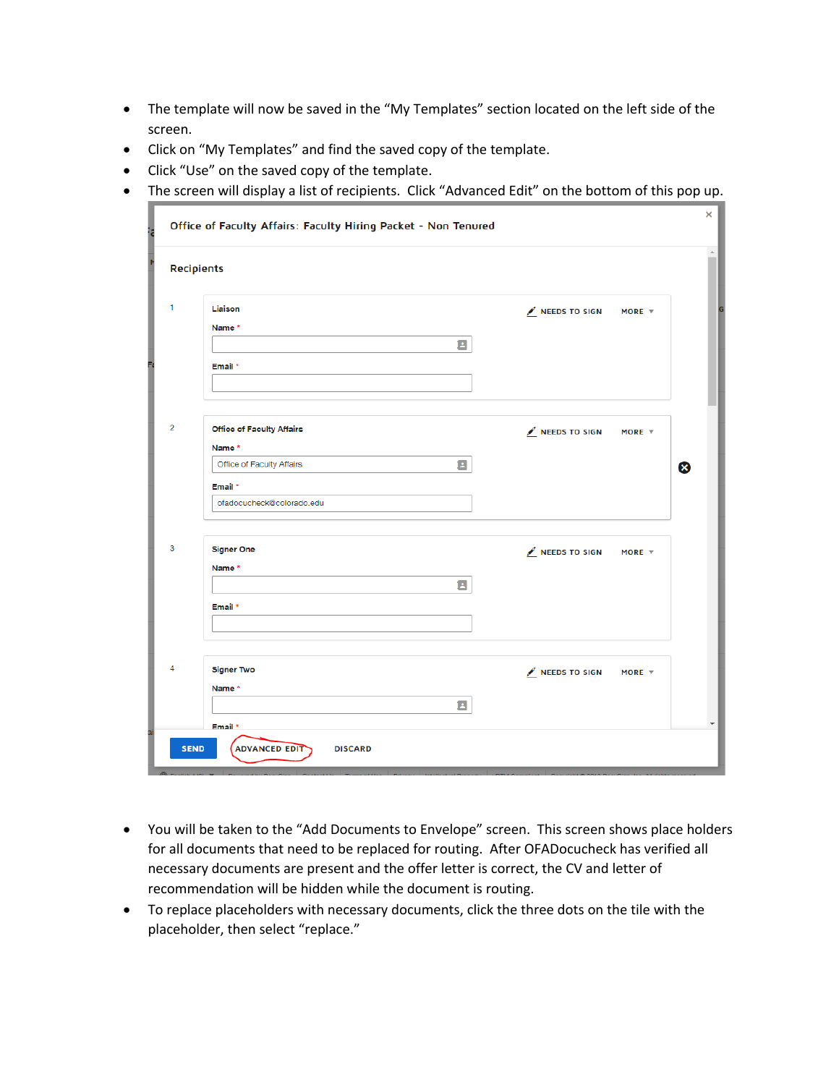- The template will now be saved in the "My Templates" section located on the left side of the screen.
- Click on "My Templates" and find the saved copy of the template.
- Click "Use" on the saved copy of the template.
- The screen will display a list of recipients. Click "Advanced Edit" on the bottom of this pop up.

|                | <b>Recipients</b>                                                           |                                                    |                           |
|----------------|-----------------------------------------------------------------------------|----------------------------------------------------|---------------------------|
| 1              | Liaison<br>Name *<br>Е<br>Email *                                           | NEEDS TO SIGN<br>MORE $\overline{v}$               |                           |
| $\overline{c}$ | <b>Office of Faculty Affairs</b><br>Name*<br>Office of Faculty Affairs<br>Ξ | $\mathcal{L}$ NEEDS TO SIGN<br>MORE $\overline{v}$ | $\boldsymbol{\mathsf{x}}$ |
| 3              | Email *<br>ofadocucheck@colorado.edu<br><b>Signer One</b>                   | $\ell$ NEEDS TO SIGN<br>MORE $\overline{v}$        |                           |
|                | Name *<br>Е<br>Email *                                                      |                                                    |                           |
| 4              | <b>Signer Two</b><br>Name *<br>国                                            | $\mathcal{L}$ NEEDS TO SIGN<br>MORE $\overline{v}$ |                           |

- You will be taken to the "Add Documents to Envelope" screen. This screen shows place holders for all documents that need to be replaced for routing. After OFADocucheck has verified all necessary documents are present and the offer letter is correct, the CV and letter of recommendation will be hidden while the document is routing.
- To replace placeholders with necessary documents, click the three dots on the tile with the placeholder, then select "replace."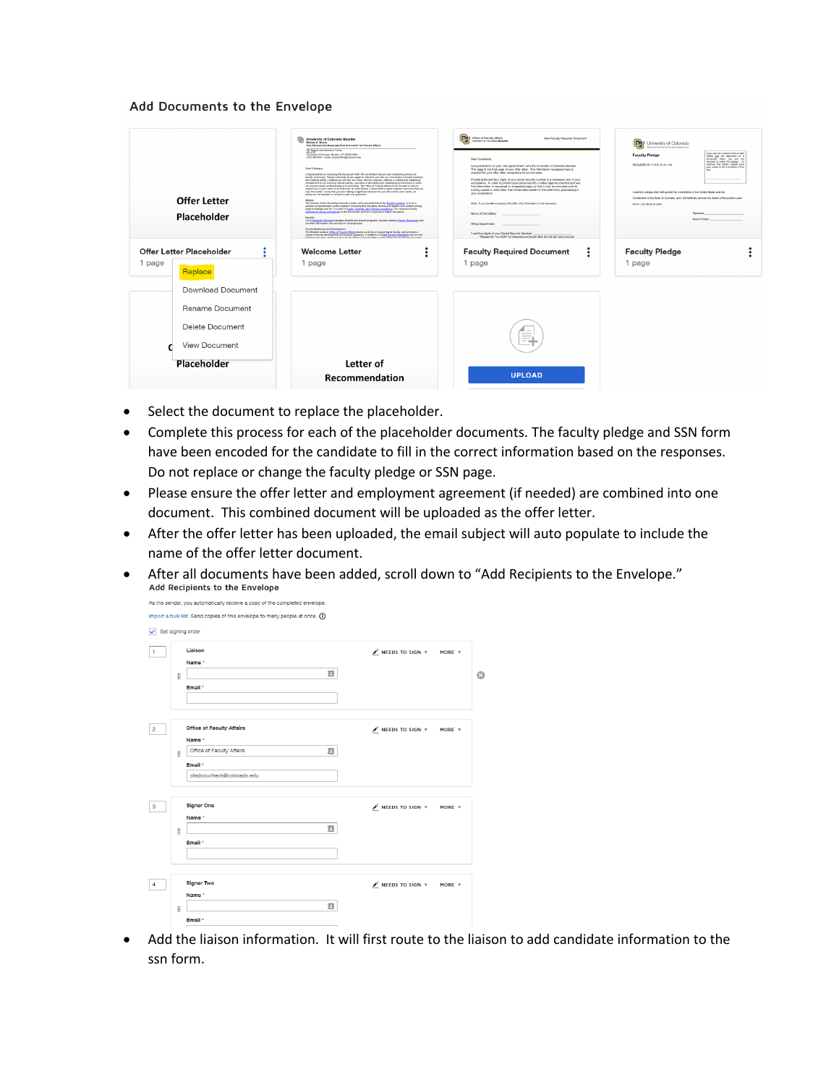## Add Documents to the Envelope

| Offer Letter<br>Placeholder<br>Offer Letter Placeholder<br>٠                                                 | University of Colorado Boulder<br>Michale S. Moses<br>Vice Provost and Associate Vice Chancellor for Faculty Affairs<br>353 Ragert Administrative Center<br>University of Colorado, Boulder, CO 80309-0349<br>(303) 492-5481   email: facultyaffairs@colorado.edu<br>Dear Colleggue.<br>Congratulations on receiving this faculty job offer! We are thrilled that you are considering joining our<br>faculty community. Please know that we are eager to welcome you into our community of scholar-teachers<br>and creative artists. I believe you will find, as I have, that the campus--offering a cultural and intellectual<br>complement to our stumming natural setting- provides a stimulating and challenging environment in which<br>you would prosper professionally and personally. The Office of Faculty Affairs at CU Boulder is here to<br>support you in your work as an instructor. In what follows, I share links to some campus resources that you<br>may find useful. I know that you are making a significant decision for your life and for your caneer, so<br>please do not hesitate to contact us with any questions.<br>Missing<br>The mission of the University Colorado system, and especially that of the Boulder campus, is to be a<br>premier comprehensive, public research university that educates otherro and leaders and creates culting.<br>edge knowledge and art, in a spirit of mazily, chemity, and inclusive excellence. Our campus recently<br>renewed its strong commitment to the democratic and clvic purposes of higher education.<br>Benefits<br>CU's Employee Services manages benefits and procyl programs. Boulder campus Harnan Resources also<br>provides information and services for all employees.<br>Faculty Mantoning and Davelopment<br>The Boulder campus Office of Faculty Affairs places a priority on supporting its faculty, and provides a<br>veriety of faculty development and support pregnants. In addition to a New Faculty Orientation day for new<br>full-time instructions, held each Banuel, the Office of Ears its Affairs hours a hour Earchy Santes of excells.<br><b>Welcome Letter</b> | Office of Faculty Affairs<br>New Faculty Required Document<br><b><i>ANTESTY OF COLORADO BOILBER</i></b><br>Dear Candidate<br>Congratulations on your new appointment with the University of Colorado Boulder.<br>This page is the final page of your offer letter. The information requested here is<br>required for your offer letter acceptance to be complete.<br>Providing the last four digits of your social security number is a necessary part of your<br>acceptance. In order to protect your nocial security number squiret unauthorized use.<br>this information is requested on a separate page so that it may be excluded prior to<br>routing copies to units other than those responsible for the preliminary processing of<br>your acceptance.<br>Note: if you are not accepting this offer, this information is not necessary.<br>Name of Candidate:<br>Hiring Department:<br>"Last four digits of your Social Security Number:<br>"Please list "no SSN" for international faculty that do not yet have a social<br><b>Faculty Required Document</b><br>٠ | University of Colorado<br>busted between the hard three Cohannel Medical Company<br>If you are not a citizen of the United<br><b>Faculty Pledge</b><br>Elates and are appointed on a<br>temporary basis, you are no<br>exercise this option, please print<br>REQUIRED BY C.R.S. 22-61-104<br>your name on the line below in this<br>I sciennik pledge that I will uphold the Constitution of the United States and the<br>Constitution of the State of Colorado, and I will faitfully perform the duties of the position upon<br>which I am about to enter<br>Signature<br>Name Printed<br><b>Faculty Pledge</b> |
|--------------------------------------------------------------------------------------------------------------|--------------------------------------------------------------------------------------------------------------------------------------------------------------------------------------------------------------------------------------------------------------------------------------------------------------------------------------------------------------------------------------------------------------------------------------------------------------------------------------------------------------------------------------------------------------------------------------------------------------------------------------------------------------------------------------------------------------------------------------------------------------------------------------------------------------------------------------------------------------------------------------------------------------------------------------------------------------------------------------------------------------------------------------------------------------------------------------------------------------------------------------------------------------------------------------------------------------------------------------------------------------------------------------------------------------------------------------------------------------------------------------------------------------------------------------------------------------------------------------------------------------------------------------------------------------------------------------------------------------------------------------------------------------------------------------------------------------------------------------------------------------------------------------------------------------------------------------------------------------------------------------------------------------------------------------------------------------------------------------------------------------------------------------------------------------------------------------------------------------------------------------------------------------------|---------------------------------------------------------------------------------------------------------------------------------------------------------------------------------------------------------------------------------------------------------------------------------------------------------------------------------------------------------------------------------------------------------------------------------------------------------------------------------------------------------------------------------------------------------------------------------------------------------------------------------------------------------------------------------------------------------------------------------------------------------------------------------------------------------------------------------------------------------------------------------------------------------------------------------------------------------------------------------------------------------------------------------------------------------------------------|------------------------------------------------------------------------------------------------------------------------------------------------------------------------------------------------------------------------------------------------------------------------------------------------------------------------------------------------------------------------------------------------------------------------------------------------------------------------------------------------------------------------------------------------------------------------------------------------------------------|
| 1 page<br>Replace<br>Download Document<br>Rename Document<br>Delete Document<br>View Document<br>Placeholder | 1 page<br>Letter of<br>Recommendation                                                                                                                                                                                                                                                                                                                                                                                                                                                                                                                                                                                                                                                                                                                                                                                                                                                                                                                                                                                                                                                                                                                                                                                                                                                                                                                                                                                                                                                                                                                                                                                                                                                                                                                                                                                                                                                                                                                                                                                                                                                                                                                              | 1 page<br>$\sim$<br><b>UPLOAD</b>                                                                                                                                                                                                                                                                                                                                                                                                                                                                                                                                                                                                                                                                                                                                                                                                                                                                                                                                                                                                                                         | 1 page                                                                                                                                                                                                                                                                                                                                                                                                                                                                                                                                                                                                           |

- Select the document to replace the placeholder.
- Complete this process for each of the placeholder documents. The faculty pledge and SSN form have been encoded for the candidate to fill in the correct information based on the responses. Do not replace or change the faculty pledge or SSN page.
- Please ensure the offer letter and employment agreement (if needed) are combined into one document. This combined document will be uploaded as the offer letter.
- After the offer letter has been uploaded, the email subject will auto populate to include the name of the offer letter document.
- After all documents have been added, scroll down to "Add Recipients to the Envelope."<br>Add Recipients to the Envelope

|   | Liaison                          | $\mathscr N$ NEEDS TO SIGN $\nabla$<br>MORE $\Psi$              |
|---|----------------------------------|-----------------------------------------------------------------|
|   | Name*                            |                                                                 |
| B | Ξ                                |                                                                 |
|   | Email *                          |                                                                 |
|   |                                  |                                                                 |
|   |                                  |                                                                 |
|   | <b>Office of Faculty Affairs</b> | $\ell$ NEEDS TO SIGN $\sqrt{ }$<br>MORE $\overline{\mathbf{v}}$ |
|   | Name*                            |                                                                 |
| B | Ξ<br>Office of Faculty Affairs   |                                                                 |
|   | Email*                           |                                                                 |
|   | ofadocucheck@colorado.edu        |                                                                 |
|   |                                  |                                                                 |
|   | <b>Signer One</b>                | $\ell$ NEEDS TO SIGN $\sqrt{ }$<br>MORE $\overline{v}$          |
|   | Name <sup>*</sup>                |                                                                 |
| B | Ξ                                |                                                                 |
|   | Email *                          |                                                                 |
|   |                                  |                                                                 |
|   |                                  |                                                                 |
|   | <b>Signer Two</b>                | $\mathscr N$ NEEDS TO SIGN $\pi$<br>MORE $\overline{v}$         |
|   |                                  |                                                                 |

• Add the liaison information. It will first route to the liaison to add candidate information to the ssn form.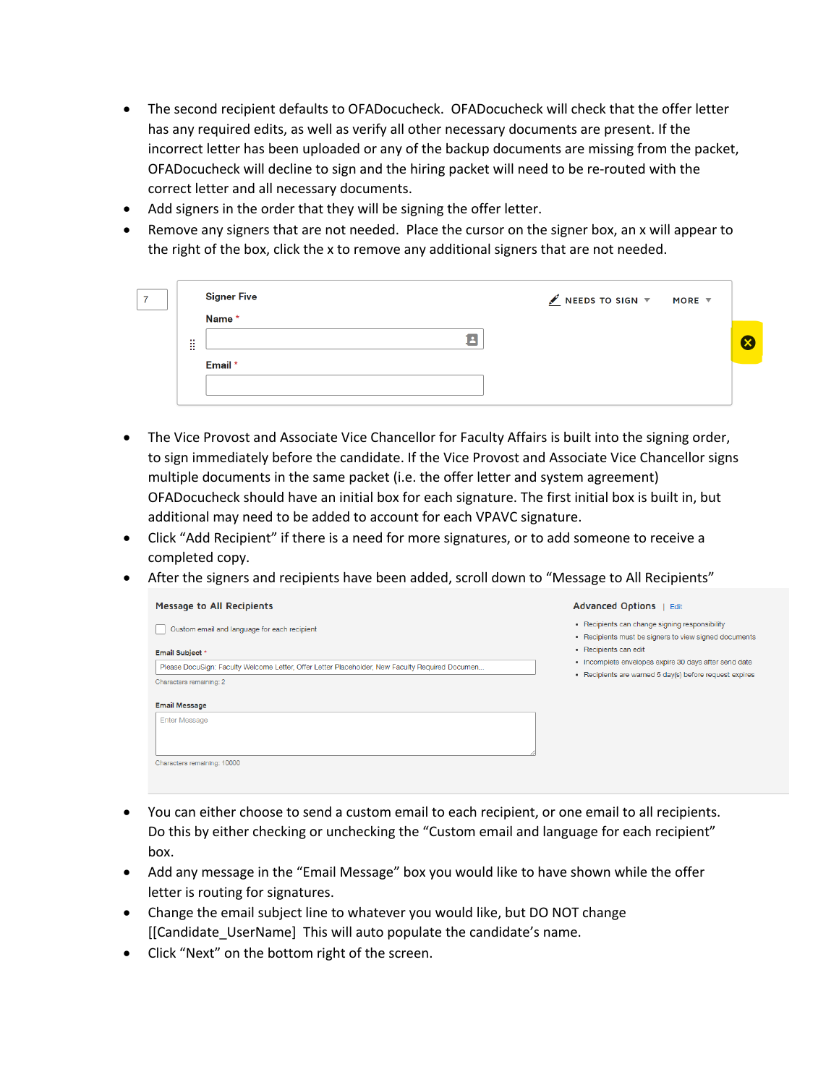- The second recipient defaults to OFADocucheck. OFADocucheck will check that the offer letter has any required edits, as well as verify all other necessary documents are present. If the incorrect letter has been uploaded or any of the backup documents are missing from the packet, OFADocucheck will decline to sign and the hiring packet will need to be re-routed with the correct letter and all necessary documents.
- Add signers in the order that they will be signing the offer letter.
- Remove any signers that are not needed. Place the cursor on the signer box, an x will appear to the right of the box, click the x to remove any additional signers that are not needed.

|       | <b>Signer Five</b> | $\angle$ NEEDS TO SIGN $\overline{v}$ MORE $\overline{v}$ |  |
|-------|--------------------|-----------------------------------------------------------|--|
| m<br> | Name *             |                                                           |  |
|       | Email *            |                                                           |  |
|       |                    |                                                           |  |

- The Vice Provost and Associate Vice Chancellor for Faculty Affairs is built into the signing order, to sign immediately before the candidate. If the Vice Provost and Associate Vice Chancellor signs multiple documents in the same packet (i.e. the offer letter and system agreement) OFADocucheck should have an initial box for each signature. The first initial box is built in, but additional may need to be added to account for each VPAVC signature.
- Click "Add Recipient" if there is a need for more signatures, or to add someone to receive a completed copy.
- After the signers and recipients have been added, scroll down to "Message to All Recipients"

| Message to All Recipients                                                                       | Advanced Options   Edit                                                                                 |
|-------------------------------------------------------------------------------------------------|---------------------------------------------------------------------------------------------------------|
| Custom email and language for each recipient                                                    | • Recipients can change signing responsibility<br>• Recipients must be signers to view signed documents |
| Email Subject *                                                                                 | • Recipients can edit                                                                                   |
| Please DocuSign: Faculty Welcome Letter, Offer Letter Placeholder, New Faculty Required Documen | • Incomplete envelopes expire 30 days after send date                                                   |
| Characters remaining: 2                                                                         | • Recipients are warned 5 day(s) before request expires                                                 |
| <b>Email Message</b>                                                                            |                                                                                                         |
| <b>Enter Message</b>                                                                            |                                                                                                         |
| Characters remaining: 10000                                                                     |                                                                                                         |
|                                                                                                 |                                                                                                         |

- You can either choose to send a custom email to each recipient, or one email to all recipients. Do this by either checking or unchecking the "Custom email and language for each recipient" box.
- Add any message in the "Email Message" box you would like to have shown while the offer letter is routing for signatures.
- Change the email subject line to whatever you would like, but DO NOT change [[Candidate UserName] This will auto populate the candidate's name.
- Click "Next" on the bottom right of the screen.